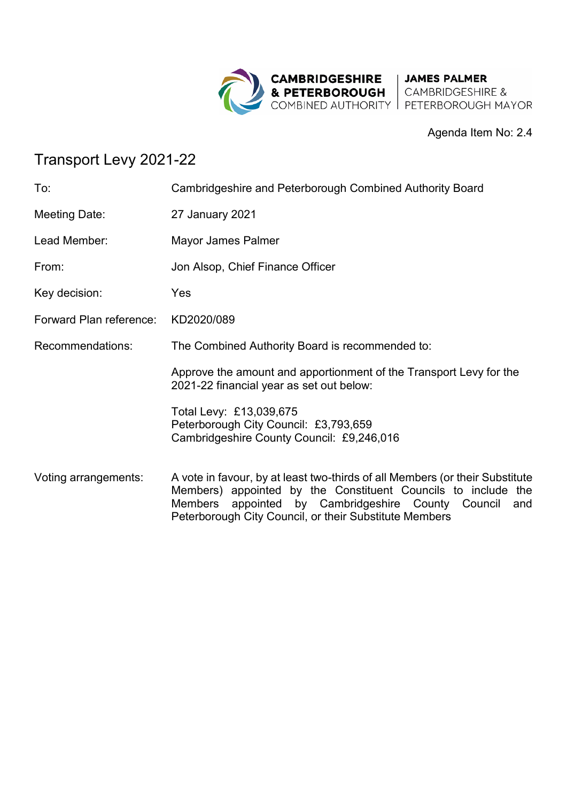

#### Agenda Item No: 2.4

# Transport Levy 2021-22

| To:                     | Cambridgeshire and Peterborough Combined Authority Board                                                                                                                                                                                                                |  |
|-------------------------|-------------------------------------------------------------------------------------------------------------------------------------------------------------------------------------------------------------------------------------------------------------------------|--|
| Meeting Date:           | 27 January 2021                                                                                                                                                                                                                                                         |  |
| Lead Member:            | Mayor James Palmer                                                                                                                                                                                                                                                      |  |
| From:                   | Jon Alsop, Chief Finance Officer                                                                                                                                                                                                                                        |  |
| Key decision:           | Yes                                                                                                                                                                                                                                                                     |  |
| Forward Plan reference: | KD2020/089                                                                                                                                                                                                                                                              |  |
| Recommendations:        | The Combined Authority Board is recommended to:                                                                                                                                                                                                                         |  |
|                         | Approve the amount and apportionment of the Transport Levy for the<br>2021-22 financial year as set out below:                                                                                                                                                          |  |
|                         | Total Levy: £13,039,675<br>Peterborough City Council: £3,793,659<br>Cambridgeshire County Council: £9,246,016                                                                                                                                                           |  |
| Voting arrangements:    | A vote in favour, by at least two-thirds of all Members (or their Substitute<br>Members) appointed by the Constituent Councils to include the<br>appointed by Cambridgeshire County Council<br>Members<br>and<br>Peterborough City Council, or their Substitute Members |  |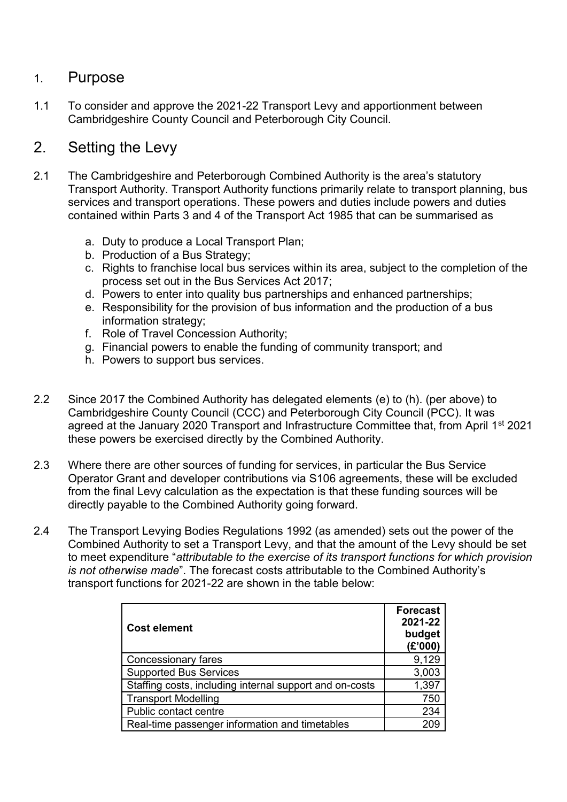### 1. Purpose

1.1 To consider and approve the 2021-22 Transport Levy and apportionment between Cambridgeshire County Council and Peterborough City Council.

## 2. Setting the Levy

- 2.1 The Cambridgeshire and Peterborough Combined Authority is the area's statutory Transport Authority. Transport Authority functions primarily relate to transport planning, bus services and transport operations. These powers and duties include powers and duties contained within Parts 3 and 4 of the Transport Act 1985 that can be summarised as
	- a. Duty to produce a Local Transport Plan;
	- b. Production of a Bus Strategy;
	- c. Rights to franchise local bus services within its area, subject to the completion of the process set out in the Bus Services Act 2017;
	- d. Powers to enter into quality bus partnerships and enhanced partnerships;
	- e. Responsibility for the provision of bus information and the production of a bus information strategy;
	- f. Role of Travel Concession Authority;
	- g. Financial powers to enable the funding of community transport; and
	- h. Powers to support bus services.
- 2.2 Since 2017 the Combined Authority has delegated elements (e) to (h). (per above) to Cambridgeshire County Council (CCC) and Peterborough City Council (PCC). It was agreed at the January 2020 Transport and Infrastructure Committee that, from April 1<sup>st</sup> 2021 these powers be exercised directly by the Combined Authority.
- 2.3 Where there are other sources of funding for services, in particular the Bus Service Operator Grant and developer contributions via S106 agreements, these will be excluded from the final Levy calculation as the expectation is that these funding sources will be directly payable to the Combined Authority going forward.
- 2.4 The Transport Levying Bodies Regulations 1992 (as amended) sets out the power of the Combined Authority to set a Transport Levy, and that the amount of the Levy should be set to meet expenditure "*attributable to the exercise of its transport functions for which provision is not otherwise made*". The forecast costs attributable to the Combined Authority's transport functions for 2021-22 are shown in the table below:

| <b>Cost element</b>                                     | <b>Forecast</b><br>2021-22<br>budget<br>(E'000) |
|---------------------------------------------------------|-------------------------------------------------|
| Concessionary fares                                     | 9,129                                           |
| <b>Supported Bus Services</b>                           | 3,003                                           |
| Staffing costs, including internal support and on-costs | 1,397                                           |
| <b>Transport Modelling</b>                              | 750                                             |
| Public contact centre                                   | 234                                             |
| Real-time passenger information and timetables          | 209                                             |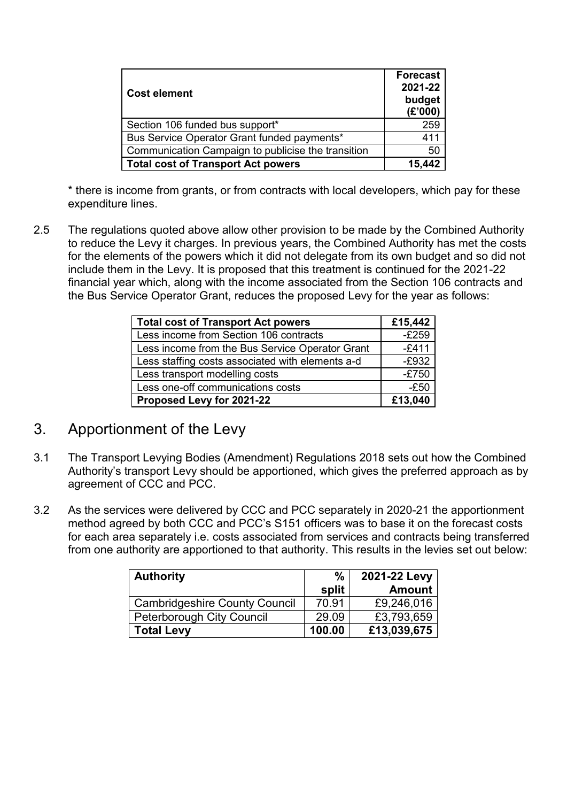| <b>Cost element</b>                                | <b>Forecast</b><br>2021-22<br>budget<br>(E'000) |
|----------------------------------------------------|-------------------------------------------------|
| Section 106 funded bus support*                    | 259                                             |
| Bus Service Operator Grant funded payments*        | 411                                             |
| Communication Campaign to publicise the transition | 50                                              |
| <b>Total cost of Transport Act powers</b>          | 15.442                                          |

\* there is income from grants, or from contracts with local developers, which pay for these expenditure lines.

2.5 The regulations quoted above allow other provision to be made by the Combined Authority to reduce the Levy it charges. In previous years, the Combined Authority has met the costs for the elements of the powers which it did not delegate from its own budget and so did not include them in the Levy. It is proposed that this treatment is continued for the 2021-22 financial year which, along with the income associated from the Section 106 contracts and the Bus Service Operator Grant, reduces the proposed Levy for the year as follows:

| Total cost of Transport Act powers               | £15,442 |
|--------------------------------------------------|---------|
| Less income from Section 106 contracts           | $-E259$ |
| Less income from the Bus Service Operator Grant  | $-E411$ |
| Less staffing costs associated with elements a-d | $-E932$ |
| Less transport modelling costs                   | $-E750$ |
| Less one-off communications costs                | $-E50$  |
| Proposed Levy for 2021-22                        | £13,040 |

- 3. Apportionment of the Levy
- 3.1 The Transport Levying Bodies (Amendment) Regulations 2018 sets out how the Combined Authority's transport Levy should be apportioned, which gives the preferred approach as by agreement of CCC and PCC.
- 3.2 As the services were delivered by CCC and PCC separately in 2020-21 the apportionment method agreed by both CCC and PCC's S151 officers was to base it on the forecast costs for each area separately i.e. costs associated from services and contracts being transferred from one authority are apportioned to that authority. This results in the levies set out below:

| <b>Authority</b>                     | $\frac{0}{0}$ | 2021-22 Levy  |
|--------------------------------------|---------------|---------------|
|                                      | split         | <b>Amount</b> |
| <b>Cambridgeshire County Council</b> | 70.91         | £9,246,016    |
| <b>Peterborough City Council</b>     | 29.09         | £3,793,659    |
| <b>Total Levy</b>                    | 100.00        | £13,039,675   |